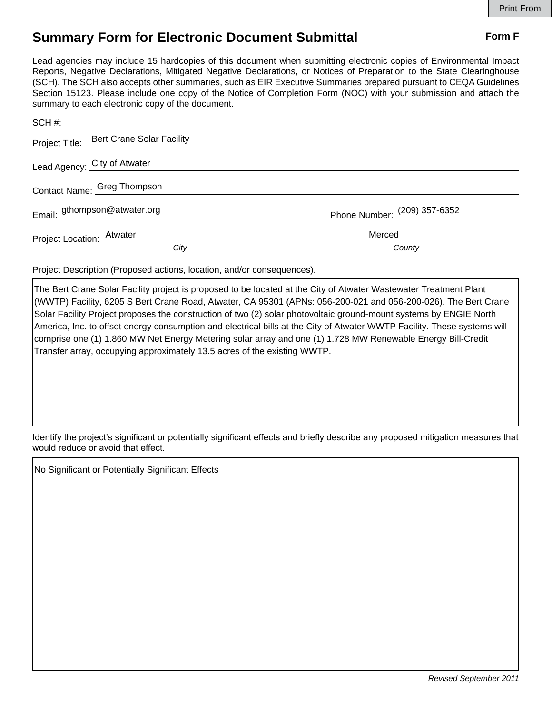## **Summary Form for Electronic Document Submittal Form F Form F**

Lead agencies may include 15 hardcopies of this document when submitting electronic copies of Environmental Impact Reports, Negative Declarations, Mitigated Negative Declarations, or Notices of Preparation to the State Clearinghouse (SCH). The SCH also accepts other summaries, such as EIR Executive Summaries prepared pursuant to CEQA Guidelines Section 15123. Please include one copy of the Notice of Completion Form (NOC) with your submission and attach the summary to each electronic copy of the document.

|                             | Project Title: Bert Crane Solar Facility |                              |
|-----------------------------|------------------------------------------|------------------------------|
|                             | Lead Agency: City of Atwater             |                              |
| Contact Name: Greg Thompson |                                          |                              |
|                             | Email: gthompson@atwater.org             | Phone Number: (209) 357-6352 |
| Project Location: Atwater   |                                          | Merced                       |
|                             | City                                     | County                       |

Project Description (Proposed actions, location, and/or consequences).

The Bert Crane Solar Facility project is proposed to be located at the City of Atwater Wastewater Treatment Plant (WWTP) Facility, 6205 S Bert Crane Road, Atwater, CA 95301 (APNs: 056-200-021 and 056-200-026). The Bert Crane Solar Facility Project proposes the construction of two (2) solar photovoltaic ground-mount systems by ENGIE North America, Inc. to offset energy consumption and electrical bills at the City of Atwater WWTP Facility. These systems will comprise one (1) 1.860 MW Net Energy Metering solar array and one (1) 1.728 MW Renewable Energy Bill-Credit Transfer array, occupying approximately 13.5 acres of the existing WWTP.

Identify the project's significant or potentially significant effects and briefly describe any proposed mitigation measures that would reduce or avoid that effect.

No Significant or Potentially Significant Effects